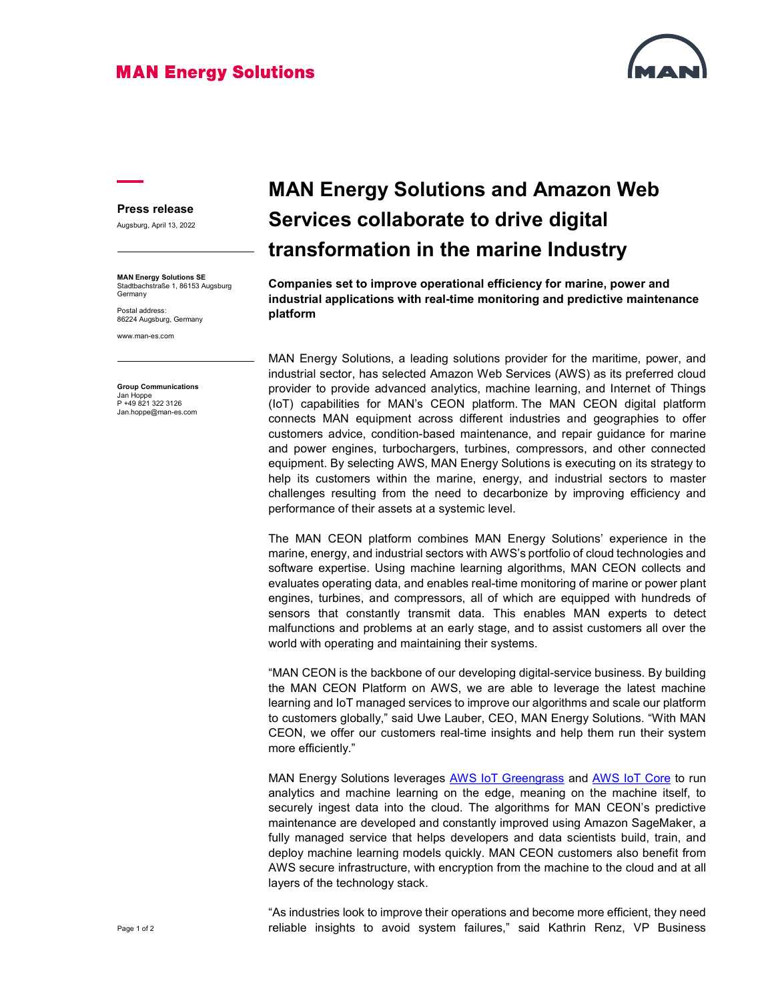## **MAN Energy Solutions**



## Press release

Augsburg, April 13, 2022

MAN Energy Solutions SE Stadtbachstraße 1, 86153 Augsburg **Germany** 

Postal address: 86224 Augsburg, Germany

www.man-es.com

Group Communications Jan Hoppe P +49 821 322 3126 Jan.hoppe@man-es.com

## MAN Energy Solutions and Amazon Web Services collaborate to drive digital transformation in the marine Industry

Companies set to improve operational efficiency for marine, power and industrial applications with real-time monitoring and predictive maintenance platform

MAN Energy Solutions, a leading solutions provider for the maritime, power, and industrial sector, has selected Amazon Web Services (AWS) as its preferred cloud provider to provide advanced analytics, machine learning, and Internet of Things (IoT) capabilities for MAN's CEON platform. The MAN CEON digital platform connects MAN equipment across different industries and geographies to offer customers advice, condition-based maintenance, and repair guidance for marine and power engines, turbochargers, turbines, compressors, and other connected equipment. By selecting AWS, MAN Energy Solutions is executing on its strategy to help its customers within the marine, energy, and industrial sectors to master challenges resulting from the need to decarbonize by improving efficiency and performance of their assets at a systemic level.

The MAN CEON platform combines MAN Energy Solutions' experience in the marine, energy, and industrial sectors with AWS's portfolio of cloud technologies and software expertise. Using machine learning algorithms, MAN CEON collects and evaluates operating data, and enables real-time monitoring of marine or power plant engines, turbines, and compressors, all of which are equipped with hundreds of sensors that constantly transmit data. This enables MAN experts to detect malfunctions and problems at an early stage, and to assist customers all over the world with operating and maintaining their systems.

"MAN CEON is the backbone of our developing digital-service business. By building the MAN CEON Platform on AWS, we are able to leverage the latest machine learning and IoT managed services to improve our algorithms and scale our platform to customers globally," said Uwe Lauber, CEO, MAN Energy Solutions. "With MAN CEON, we offer our customers real-time insights and help them run their system more efficiently."

MAN Energy Solutions leverages **AWS IoT Greengrass and AWS IoT Core** to run analytics and machine learning on the edge, meaning on the machine itself, to securely ingest data into the cloud. The algorithms for MAN CEON's predictive maintenance are developed and constantly improved using Amazon SageMaker, a fully managed service that helps developers and data scientists build, train, and deploy machine learning models quickly. MAN CEON customers also benefit from AWS secure infrastructure, with encryption from the machine to the cloud and at all layers of the technology stack.

"As industries look to improve their operations and become more efficient, they need reliable insights to avoid system failures," said Kathrin Renz, VP Business